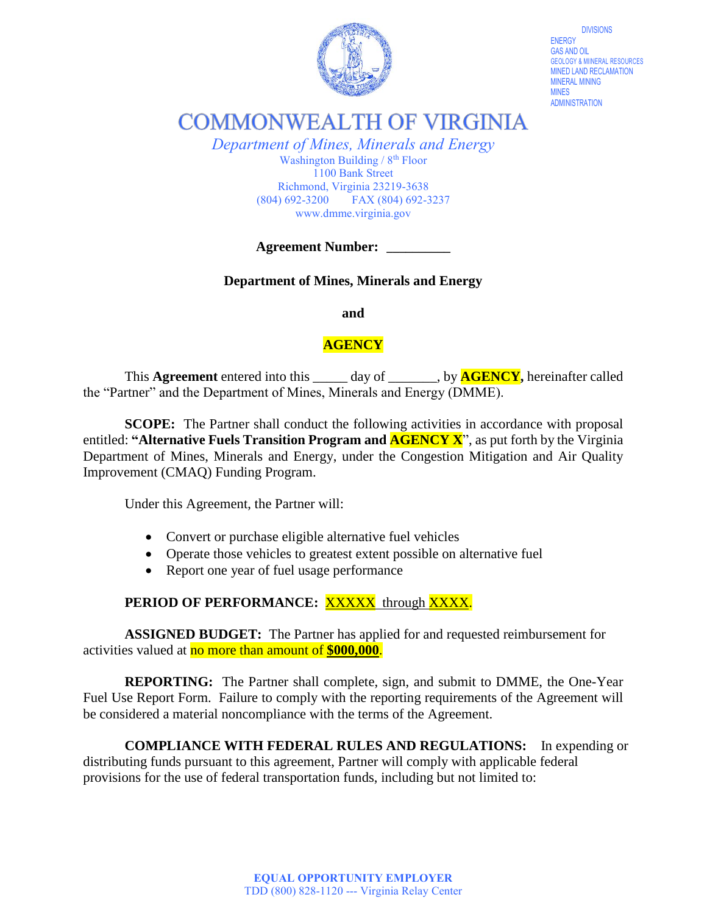

DIVISIONS ENERGY GAS AND OIL GEOLOGY & MIINERAL RESOURCES MINED LAND RECLAMATION MINES ADMINISTRATION

**COMMONWEALTH OF VIRGINIA** 

*Department of Mines, Minerals and Energy* Washington Building /  $8<sup>th</sup>$  Floor 1100 Bank Street Richmond, Virginia 23219-3638 (804) 692-3200 FAX (804) 692-3237 www.dmme.virginia.gov

**Agreement Number: \_\_\_\_\_\_\_\_\_\_**

**Department of Mines, Minerals and Energy**

**and**

## **AGENCY**

This **Agreement** entered into this day of by **AGENCY**, hereinafter called the "Partner" and the Department of Mines, Minerals and Energy (DMME).

**SCOPE:** The Partner shall conduct the following activities in accordance with proposal entitled: **"Alternative Fuels Transition Program and AGENCY X**", as put forth by the Virginia Department of Mines, Minerals and Energy, under the Congestion Mitigation and Air Quality Improvement (CMAQ) Funding Program.

Under this Agreement, the Partner will:

- Convert or purchase eligible alternative fuel vehicles
- Operate those vehicles to greatest extent possible on alternative fuel
- Report one year of fuel usage performance

## PERIOD OF PERFORMANCE: XXXXX through XXXX.

**ASSIGNED BUDGET:** The Partner has applied for and requested reimbursement for activities valued at no more than amount of **\$000,000**.

**REPORTING:** The Partner shall complete, sign, and submit to DMME, the One-Year Fuel Use Report Form. Failure to comply with the reporting requirements of the Agreement will be considered a material noncompliance with the terms of the Agreement.

**COMPLIANCE WITH FEDERAL RULES AND REGULATIONS:** In expending or distributing funds pursuant to this agreement, Partner will comply with applicable federal provisions for the use of federal transportation funds, including but not limited to: